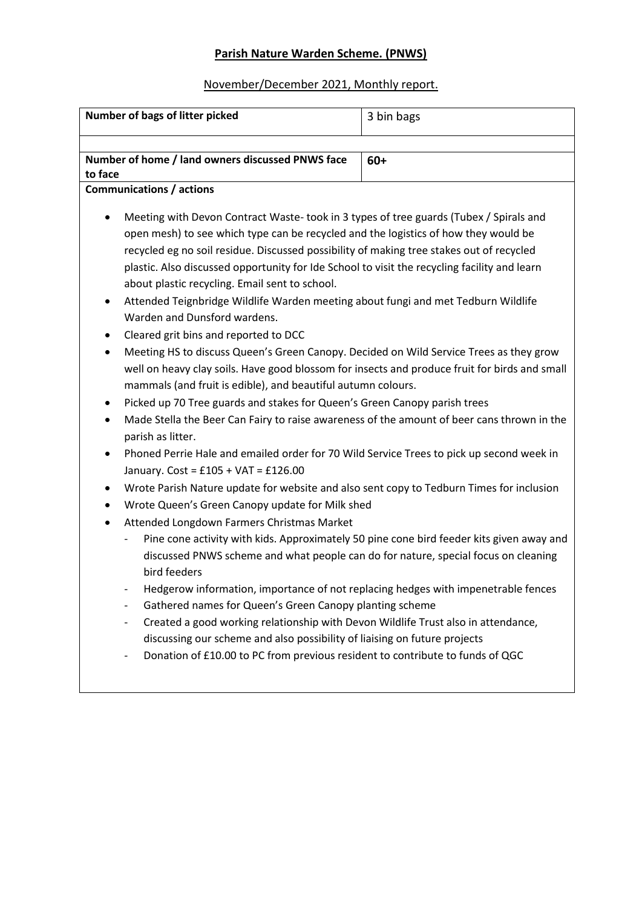# **Parish Nature Warden Scheme. (PNWS)**

# November/December 2021, Monthly report.

| Number of bags of litter picked                                                                                                                                                                                                                                                                                                                                                                                                                                                                                                                                                                                                                                                                                                                                                                                                                                                                                                                                                                                                                                                                                                                                                                                                                                                                                                                                                                                                                                                                                                                                                                                                                                                                                                                                                                                                                                                                                                                                                                                                                                         | 3 bin bags |
|-------------------------------------------------------------------------------------------------------------------------------------------------------------------------------------------------------------------------------------------------------------------------------------------------------------------------------------------------------------------------------------------------------------------------------------------------------------------------------------------------------------------------------------------------------------------------------------------------------------------------------------------------------------------------------------------------------------------------------------------------------------------------------------------------------------------------------------------------------------------------------------------------------------------------------------------------------------------------------------------------------------------------------------------------------------------------------------------------------------------------------------------------------------------------------------------------------------------------------------------------------------------------------------------------------------------------------------------------------------------------------------------------------------------------------------------------------------------------------------------------------------------------------------------------------------------------------------------------------------------------------------------------------------------------------------------------------------------------------------------------------------------------------------------------------------------------------------------------------------------------------------------------------------------------------------------------------------------------------------------------------------------------------------------------------------------------|------------|
| Number of home / land owners discussed PNWS face                                                                                                                                                                                                                                                                                                                                                                                                                                                                                                                                                                                                                                                                                                                                                                                                                                                                                                                                                                                                                                                                                                                                                                                                                                                                                                                                                                                                                                                                                                                                                                                                                                                                                                                                                                                                                                                                                                                                                                                                                        | $60+$      |
| to face                                                                                                                                                                                                                                                                                                                                                                                                                                                                                                                                                                                                                                                                                                                                                                                                                                                                                                                                                                                                                                                                                                                                                                                                                                                                                                                                                                                                                                                                                                                                                                                                                                                                                                                                                                                                                                                                                                                                                                                                                                                                 |            |
| <b>Communications / actions</b>                                                                                                                                                                                                                                                                                                                                                                                                                                                                                                                                                                                                                                                                                                                                                                                                                                                                                                                                                                                                                                                                                                                                                                                                                                                                                                                                                                                                                                                                                                                                                                                                                                                                                                                                                                                                                                                                                                                                                                                                                                         |            |
| Meeting with Devon Contract Waste-took in 3 types of tree guards (Tubex / Spirals and<br>open mesh) to see which type can be recycled and the logistics of how they would be<br>recycled eg no soil residue. Discussed possibility of making tree stakes out of recycled<br>plastic. Also discussed opportunity for Ide School to visit the recycling facility and learn<br>about plastic recycling. Email sent to school.<br>Attended Teignbridge Wildlife Warden meeting about fungi and met Tedburn Wildlife<br>Warden and Dunsford wardens.<br>Cleared grit bins and reported to DCC<br>Meeting HS to discuss Queen's Green Canopy. Decided on Wild Service Trees as they grow<br>well on heavy clay soils. Have good blossom for insects and produce fruit for birds and small<br>mammals (and fruit is edible), and beautiful autumn colours.<br>Picked up 70 Tree guards and stakes for Queen's Green Canopy parish trees<br>Made Stella the Beer Can Fairy to raise awareness of the amount of beer cans thrown in the<br>$\bullet$<br>parish as litter.<br>Phoned Perrie Hale and emailed order for 70 Wild Service Trees to pick up second week in<br>$\bullet$<br>January. Cost = £105 + VAT = £126.00<br>Wrote Parish Nature update for website and also sent copy to Tedburn Times for inclusion<br>٠<br>Wrote Queen's Green Canopy update for Milk shed<br>$\bullet$<br>Attended Longdown Farmers Christmas Market<br>$\bullet$<br>Pine cone activity with kids. Approximately 50 pine cone bird feeder kits given away and<br>discussed PNWS scheme and what people can do for nature, special focus on cleaning<br>bird feeders<br>Hedgerow information, importance of not replacing hedges with impenetrable fences<br>Gathered names for Queen's Green Canopy planting scheme<br>Created a good working relationship with Devon Wildlife Trust also in attendance,<br>$\qquad \qquad -$<br>discussing our scheme and also possibility of liaising on future projects<br>Donation of £10.00 to PC from previous resident to contribute to funds of QGC |            |